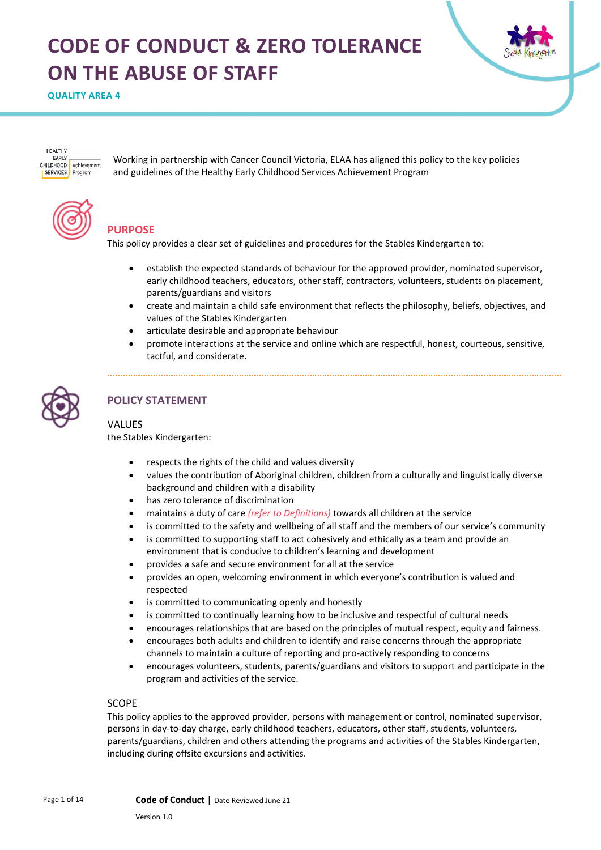# **CODE OF CONDUCT & ZERO TOLERANCE ON THE ABUSE OF STAFF**



**QUALITY AREA 4** 

HEALTHY **EADIV** CHILDHOOD Achievement **SERVICES** Program

Working in partnership with Cancer Council Victoria, ELAA has aligned this policy to the key policies and guidelines of the Healthy Early Childhood Services Achievement Program



# **PURPOSE**

This policy provides a clear set of guidelines and procedures for the Stables Kindergarten to:

- establish the expected standards of behaviour for the approved provider, nominated supervisor, early childhood teachers, educators, other staff, contractors, volunteers, students on placement, parents/guardians and visitors
- create and maintain a child safe environment that reflects the philosophy, beliefs, objectives, and values of the Stables Kindergarten
- articulate desirable and appropriate behaviour
- promote interactions at the service and online which are respectful, honest, courteous, sensitive, tactful, and considerate.



# **POLICY STATEMENT**

#### VALUES

the Stables Kindergarten:

- respects the rights of the child and values diversity
- values the contribution of Aboriginal children, children from a culturally and linguistically diverse background and children with a disability
- has zero tolerance of discrimination
- maintains a duty of care *(refer to Definitions)* towards all children at the service
- is committed to the safety and wellbeing of all staff and the members of our service's community
- is committed to supporting staff to act cohesively and ethically as a team and provide an environment that is conducive to children's learning and development
- provides a safe and secure environment for all at the service
- provides an open, welcoming environment in which everyone's contribution is valued and respected
- is committed to communicating openly and honestly
- is committed to continually learning how to be inclusive and respectful of cultural needs
- encourages relationships that are based on the principles of mutual respect, equity and fairness.
- encourages both adults and children to identify and raise concerns through the appropriate channels to maintain a culture of reporting and pro-actively responding to concerns
- encourages volunteers, students, parents/guardians and visitors to support and participate in the program and activities of the service.

#### SCOPE

This policy applies to the approved provider, persons with management or control, nominated supervisor, persons in day-to-day charge, early childhood teachers, educators, other staff, students, volunteers, parents/guardians, children and others attending the programs and activities of the Stables Kindergarten, including during offsite excursions and activities.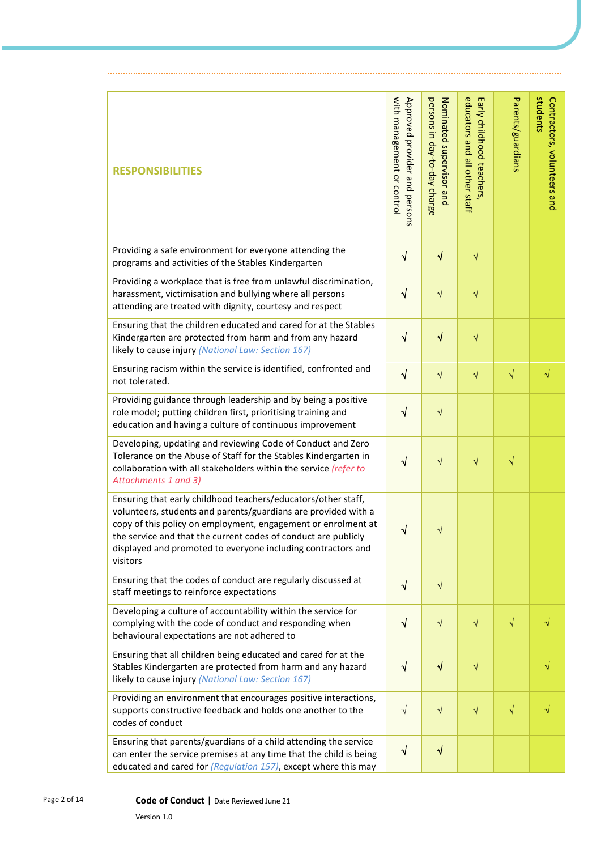| <b>RESPONSIBILITIES</b>                                                                                                                                                                                                                                                                                                                        | with management or control<br>Approved provider and persons | persons in day-to-day charge<br>Nominated supervisor and | educators and all other staff<br>Early childhood teachers, | Parents/guardians | students<br>Contractors, volunteers and |
|------------------------------------------------------------------------------------------------------------------------------------------------------------------------------------------------------------------------------------------------------------------------------------------------------------------------------------------------|-------------------------------------------------------------|----------------------------------------------------------|------------------------------------------------------------|-------------------|-----------------------------------------|
| Providing a safe environment for everyone attending the<br>programs and activities of the Stables Kindergarten                                                                                                                                                                                                                                 | $\sqrt{}$                                                   | $\sqrt{}$                                                | $\sqrt{}$                                                  |                   |                                         |
| Providing a workplace that is free from unlawful discrimination,<br>harassment, victimisation and bullying where all persons<br>attending are treated with dignity, courtesy and respect                                                                                                                                                       | $\sqrt{}$                                                   | $\sqrt{ }$                                               | $\sqrt{}$                                                  |                   |                                         |
| Ensuring that the children educated and cared for at the Stables<br>Kindergarten are protected from harm and from any hazard<br>likely to cause injury (National Law: Section 167)                                                                                                                                                             | $\sqrt{}$                                                   | $\sqrt{}$                                                | $\sqrt{}$                                                  |                   |                                         |
| Ensuring racism within the service is identified, confronted and<br>not tolerated.                                                                                                                                                                                                                                                             | $\sqrt{}$                                                   | $\sqrt{ }$                                               | $\sqrt{}$                                                  | $\sqrt{}$         | $\sqrt{}$                               |
| Providing guidance through leadership and by being a positive<br>role model; putting children first, prioritising training and<br>education and having a culture of continuous improvement                                                                                                                                                     | $\sqrt{}$                                                   | $\sqrt{ }$                                               |                                                            |                   |                                         |
| Developing, updating and reviewing Code of Conduct and Zero<br>Tolerance on the Abuse of Staff for the Stables Kindergarten in<br>collaboration with all stakeholders within the service (refer to<br>Attachments 1 and 3)                                                                                                                     | $\sqrt{}$                                                   | $\sqrt{}$                                                | $\sqrt{}$                                                  | $\sqrt{}$         |                                         |
| Ensuring that early childhood teachers/educators/other staff,<br>volunteers, students and parents/guardians are provided with a<br>copy of this policy on employment, engagement or enrolment at<br>the service and that the current codes of conduct are publicly<br>displayed and promoted to everyone including contractors and<br>visitors | V                                                           | V                                                        |                                                            |                   |                                         |
| Ensuring that the codes of conduct are regularly discussed at<br>staff meetings to reinforce expectations                                                                                                                                                                                                                                      | $\sqrt{ }$                                                  | $\sqrt{}$                                                |                                                            |                   |                                         |
| Developing a culture of accountability within the service for<br>complying with the code of conduct and responding when<br>behavioural expectations are not adhered to                                                                                                                                                                         | $\sqrt{}$                                                   | $\sqrt{}$                                                | $\sqrt{}$                                                  | $\sqrt{}$         |                                         |
| Ensuring that all children being educated and cared for at the<br>Stables Kindergarten are protected from harm and any hazard<br>likely to cause injury (National Law: Section 167)                                                                                                                                                            | V                                                           | $\sqrt{ }$                                               | $\sqrt{}$                                                  |                   |                                         |
| Providing an environment that encourages positive interactions,<br>supports constructive feedback and holds one another to the<br>codes of conduct                                                                                                                                                                                             | $\sqrt{ }$                                                  | $\sqrt{ }$                                               | $\sqrt{}$                                                  | $\sqrt{}$         |                                         |
| Ensuring that parents/guardians of a child attending the service<br>can enter the service premises at any time that the child is being<br>educated and cared for (Regulation 157), except where this may                                                                                                                                       | $\sqrt{}$                                                   | $\sqrt{}$                                                |                                                            |                   |                                         |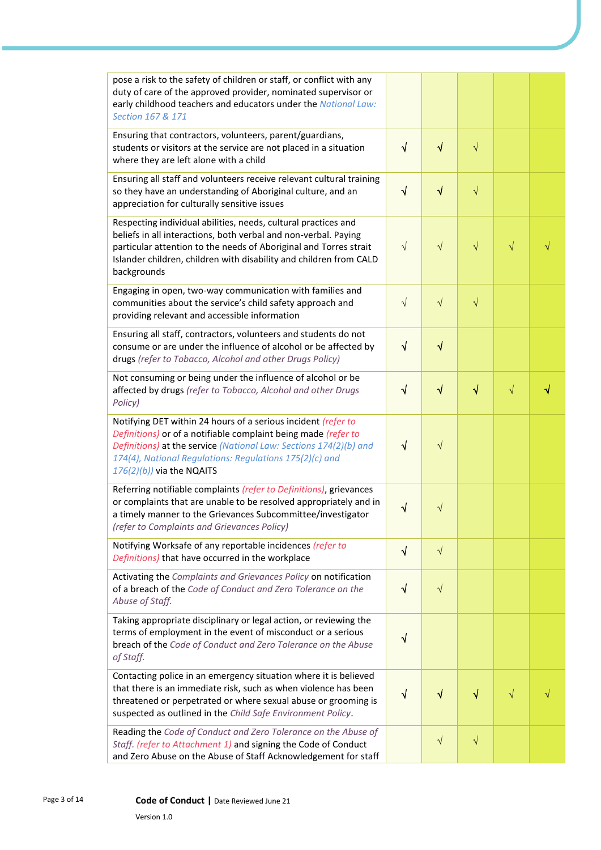| pose a risk to the safety of children or staff, or conflict with any<br>duty of care of the approved provider, nominated supervisor or<br>early childhood teachers and educators under the National Law:<br>Section 167 & 171                                                                   |            |           |           |           |   |
|-------------------------------------------------------------------------------------------------------------------------------------------------------------------------------------------------------------------------------------------------------------------------------------------------|------------|-----------|-----------|-----------|---|
| Ensuring that contractors, volunteers, parent/guardians,<br>students or visitors at the service are not placed in a situation<br>where they are left alone with a child                                                                                                                         | $\sqrt{}$  | $\sqrt{}$ | $\sqrt{}$ |           |   |
| Ensuring all staff and volunteers receive relevant cultural training<br>so they have an understanding of Aboriginal culture, and an<br>appreciation for culturally sensitive issues                                                                                                             | $\sqrt{ }$ | $\sqrt{}$ | $\sqrt{}$ |           |   |
| Respecting individual abilities, needs, cultural practices and<br>beliefs in all interactions, both verbal and non-verbal. Paying<br>particular attention to the needs of Aboriginal and Torres strait<br>Islander children, children with disability and children from CALD<br>backgrounds     | $\sqrt{}$  | $\sqrt{}$ | $\sqrt{}$ | $\sqrt{}$ |   |
| Engaging in open, two-way communication with families and<br>communities about the service's child safety approach and<br>providing relevant and accessible information                                                                                                                         | $\sqrt{}$  | $\sqrt{}$ | $\sqrt{}$ |           |   |
| Ensuring all staff, contractors, volunteers and students do not<br>consume or are under the influence of alcohol or be affected by<br>drugs (refer to Tobacco, Alcohol and other Drugs Policy)                                                                                                  | $\sqrt{ }$ | $\sqrt{}$ |           |           |   |
| Not consuming or being under the influence of alcohol or be<br>affected by drugs (refer to Tobacco, Alcohol and other Drugs<br>Policy)                                                                                                                                                          | $\sqrt{}$  | $\sqrt{}$ | $\sqrt{}$ | $\sqrt{}$ | √ |
| Notifying DET within 24 hours of a serious incident (refer to<br>Definitions) or of a notifiable complaint being made (refer to<br>Definitions) at the service (National Law: Sections 174(2)(b) and<br>174(4), National Regulations: Regulations 175(2)(c) and<br>$176(2)(b)$ ) via the NQAITS | $\sqrt{ }$ | $\sqrt{}$ |           |           |   |
| Referring notifiable complaints (refer to Definitions), grievances<br>or complaints that are unable to be resolved appropriately and in<br>a timely manner to the Grievances Subcommittee/investigator<br>(refer to Complaints and Grievances Policy)                                           | V          | $\sqrt{}$ |           |           |   |
| Notifying Worksafe of any reportable incidences (refer to<br>Definitions) that have occurred in the workplace                                                                                                                                                                                   | $\sqrt{}$  | $\sqrt{}$ |           |           |   |
| Activating the Complaints and Grievances Policy on notification<br>of a breach of the Code of Conduct and Zero Tolerance on the<br>Abuse of Staff.                                                                                                                                              | $\sqrt{}$  | $\sqrt{}$ |           |           |   |
| Taking appropriate disciplinary or legal action, or reviewing the<br>terms of employment in the event of misconduct or a serious<br>breach of the Code of Conduct and Zero Tolerance on the Abuse<br>of Staff.                                                                                  | √          |           |           |           |   |
| Contacting police in an emergency situation where it is believed<br>that there is an immediate risk, such as when violence has been<br>threatened or perpetrated or where sexual abuse or grooming is<br>suspected as outlined in the Child Safe Environment Policy.                            | √          | $\sqrt{}$ | √         | $\sqrt{}$ |   |
| Reading the Code of Conduct and Zero Tolerance on the Abuse of<br>Staff. (refer to Attachment 1) and signing the Code of Conduct<br>and Zero Abuse on the Abuse of Staff Acknowledgement for staff                                                                                              |            | $\sqrt{}$ | $\sqrt{}$ |           |   |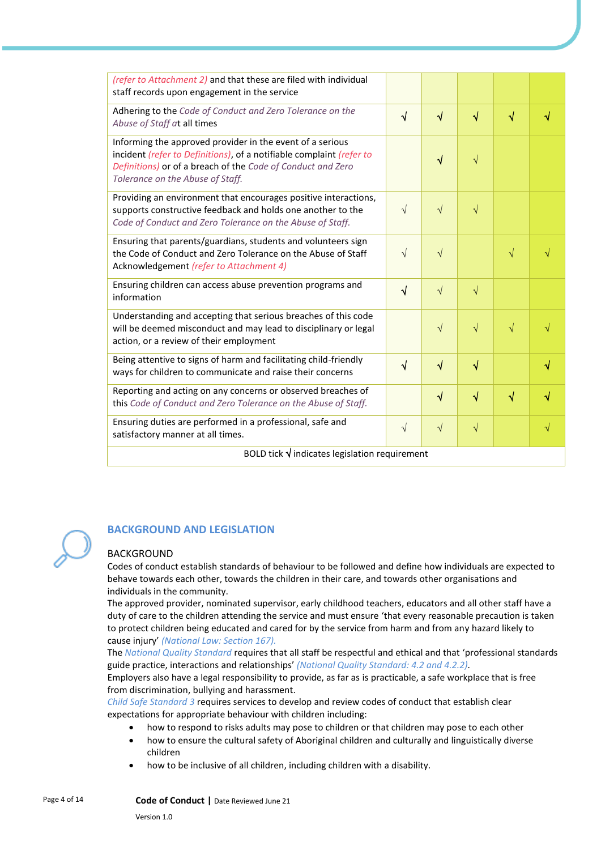| (refer to Attachment 2) and that these are filed with individual<br>staff records upon engagement in the service                                                                                                                     |            |            |           |           |           |
|--------------------------------------------------------------------------------------------------------------------------------------------------------------------------------------------------------------------------------------|------------|------------|-----------|-----------|-----------|
| Adhering to the Code of Conduct and Zero Tolerance on the<br>Abuse of Staff at all times                                                                                                                                             | $\sqrt{ }$ | $\sqrt{ }$ | $\sqrt{}$ | $\sqrt{}$ | √         |
| Informing the approved provider in the event of a serious<br>incident (refer to Definitions), of a notifiable complaint (refer to<br>Definitions) or of a breach of the Code of Conduct and Zero<br>Tolerance on the Abuse of Staff. |            | $\sqrt{ }$ | $\sqrt{}$ |           |           |
| Providing an environment that encourages positive interactions,<br>supports constructive feedback and holds one another to the<br>Code of Conduct and Zero Tolerance on the Abuse of Staff.                                          | $\sqrt{ }$ | $\sqrt{ }$ | $\sqrt{}$ |           |           |
| Ensuring that parents/guardians, students and volunteers sign<br>the Code of Conduct and Zero Tolerance on the Abuse of Staff<br>Acknowledgement (refer to Attachment 4)                                                             | $\sqrt{ }$ | $\sqrt{ }$ |           | $\sqrt{}$ |           |
| Ensuring children can access abuse prevention programs and<br>information                                                                                                                                                            | $\sqrt{ }$ | $\sqrt{ }$ | $\sqrt{}$ |           |           |
| Understanding and accepting that serious breaches of this code<br>will be deemed misconduct and may lead to disciplinary or legal<br>action, or a review of their employment                                                         |            | $\sqrt{ }$ | $\sqrt{}$ | $\sqrt{}$ |           |
| Being attentive to signs of harm and facilitating child-friendly<br>ways for children to communicate and raise their concerns                                                                                                        | $\sqrt{ }$ | $\sqrt{ }$ | $\sqrt{}$ |           | √         |
| Reporting and acting on any concerns or observed breaches of<br>this Code of Conduct and Zero Tolerance on the Abuse of Staff.                                                                                                       |            | $\sqrt{ }$ | $\sqrt{}$ | $\sqrt{}$ |           |
| Ensuring duties are performed in a professional, safe and<br>satisfactory manner at all times.                                                                                                                                       | $\sqrt{}$  | $\sqrt{ }$ | $\sqrt{}$ |           | $\sqrt{}$ |
| BOLD tick $\sqrt{}$ indicates legislation requirement                                                                                                                                                                                |            |            |           |           |           |

#### **BACKGROUND AND LEGISLATION**

#### BACKGROUND

Codes of conduct establish standards of behaviour to be followed and define how individuals are expected to behave towards each other, towards the children in their care, and towards other organisations and individuals in the community.

The approved provider, nominated supervisor, early childhood teachers, educators and all other staff have a duty of care to the children attending the service and must ensure 'that every reasonable precaution is taken to protect children being educated and cared for by the service from harm and from any hazard likely to cause injury' *(National Law: Section 167).*

The *National Quality Standard* requires that all staff be respectful and ethical and that 'professional standards guide practice, interactions and relationships' *(National Quality Standard: 4.2 and 4.2.2).*

Employers also have a legal responsibility to provide, as far as is practicable, a safe workplace that is free from discrimination, bullying and harassment.

*Child Safe Standard 3* requires services to develop and review codes of conduct that establish clear expectations for appropriate behaviour with children including:

- how to respond to risks adults may pose to children or that children may pose to each other
- how to ensure the cultural safety of Aboriginal children and culturally and linguistically diverse children
- how to be inclusive of all children, including children with a disability.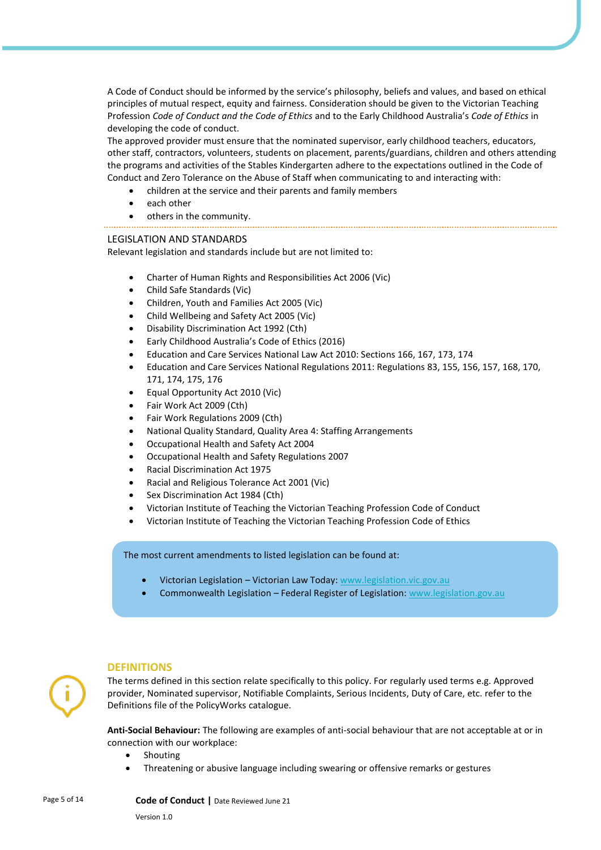A Code of Conduct should be informed by the service's philosophy, beliefs and values, and based on ethical principles of mutual respect, equity and fairness. Consideration should be given to the Victorian Teaching Profession *Code of Conduct and the Code of Ethics* and to the Early Childhood Australia's *Code of Ethics* in developing the code of conduct.

The approved provider must ensure that the nominated supervisor, early childhood teachers, educators, other staff, contractors, volunteers, students on placement, parents/guardians, children and others attending the programs and activities of the Stables Kindergarten adhere to the expectations outlined in the Code of Conduct and Zero Tolerance on the Abuse of Staff when communicating to and interacting with:

- children at the service and their parents and family members
- each other
- others in the community.
- 

#### LEGISLATION AND STANDARDS

Relevant legislation and standards include but are not limited to:

- Charter of Human Rights and Responsibilities Act 2006 (Vic)
- Child Safe Standards (Vic)
- Children, Youth and Families Act 2005 (Vic)
- Child Wellbeing and Safety Act 2005 (Vic)
- Disability Discrimination Act 1992 (Cth)
- Early Childhood Australia's Code of Ethics (2016)
- Education and Care Services National Law Act 2010: Sections 166, 167, 173, 174
- Education and Care Services National Regulations 2011: Regulations 83, 155, 156, 157, 168, 170, 171, 174, 175, 176
- Equal Opportunity Act 2010 (Vic)
- Fair Work Act 2009 (Cth)
- Fair Work Regulations 2009 (Cth)
- National Quality Standard, Quality Area 4: Staffing Arrangements
- Occupational Health and Safety Act 2004
- Occupational Health and Safety Regulations 2007
- Racial Discrimination Act 1975
- Racial and Religious Tolerance Act 2001 (Vic)
- Sex Discrimination Act 1984 (Cth)
- Victorian Institute of Teaching the Victorian Teaching Profession Code of Conduct
- Victorian Institute of Teaching the Victorian Teaching Profession Code of Ethics

The most current amendments to listed legislation can be found at:

- Victorian Legislation Victorian Law Today: [www.legislation.vic.gov.au](http://www.legislation.vic.gov.au/)
- Commonwealth Legislation Federal Register of Legislation: [www.legislation.gov.au](http://www.legislation.gov.au/)

#### **DEFINITIONS**

The terms defined in this section relate specifically to this policy. For regularly used terms e.g. Approved provider, Nominated supervisor, Notifiable Complaints, Serious Incidents, Duty of Care, etc. refer to the Definitions file of the PolicyWorks catalogue.

**Anti-Social Behaviour:** The following are examples of anti-social behaviour that are not acceptable at or in connection with our workplace:

- Shouting
- Threatening or abusive language including swearing or offensive remarks or gestures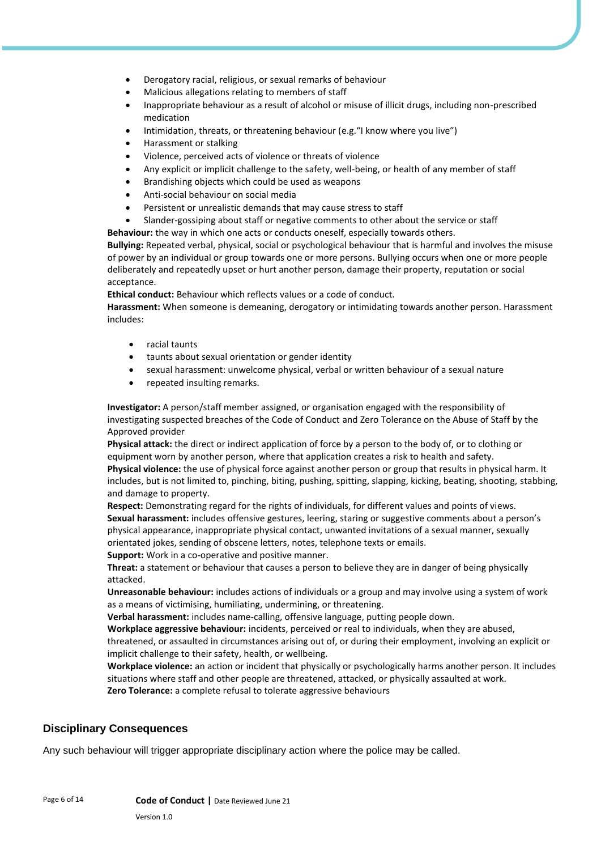- Derogatory racial, religious, or sexual remarks of behaviour
- Malicious allegations relating to members of staff
- Inappropriate behaviour as a result of alcohol or misuse of illicit drugs, including non-prescribed medication
- Intimidation, threats, or threatening behaviour (e.g."I know where you live")
- Harassment or stalking
- Violence, perceived acts of violence or threats of violence
- Any explicit or implicit challenge to the safety, well-being, or health of any member of staff
- Brandishing objects which could be used as weapons
- Anti-social behaviour on social media
- Persistent or unrealistic demands that may cause stress to staff
- Slander-gossiping about staff or negative comments to other about the service or staff

**Behaviour:** the way in which one acts or conducts oneself, especially towards others.

**Bullying:** Repeated verbal, physical, social or psychological behaviour that is harmful and involves the misuse of power by an individual or group towards one or more persons. Bullying occurs when one or more people deliberately and repeatedly upset or hurt another person, damage their property, reputation or social acceptance.

**Ethical conduct:** Behaviour which reflects values or a code of conduct.

**Harassment:** When someone is demeaning, derogatory or intimidating towards another person. Harassment includes:

- racial taunts
- taunts about sexual orientation or gender identity
- sexual harassment: unwelcome physical, verbal or written behaviour of a sexual nature
- repeated insulting remarks.

**Investigator:** A person/staff member assigned, or organisation engaged with the responsibility of investigating suspected breaches of the Code of Conduct and Zero Tolerance on the Abuse of Staff by the Approved provider

**Physical attack:** the direct or indirect application of force by a person to the body of, or to clothing or equipment worn by another person, where that application creates a risk to health and safety. **Physical violence:** the use of physical force against another person or group that results in physical harm. It

includes, but is not limited to, pinching, biting, pushing, spitting, slapping, kicking, beating, shooting, stabbing, and damage to property.

**Respect:** Demonstrating regard for the rights of individuals, for different values and points of views. **Sexual harassment:** includes offensive gestures, leering, staring or suggestive comments about a person's physical appearance, inappropriate physical contact, unwanted invitations of a sexual manner, sexually orientated jokes, sending of obscene letters, notes, telephone texts or emails.

**Support:** Work in a co-operative and positive manner.

**Threat:** a statement or behaviour that causes a person to believe they are in danger of being physically attacked.

**Unreasonable behaviour:** includes actions of individuals or a group and may involve using a system of work as a means of victimising, humiliating, undermining, or threatening.

**Verbal harassment:** includes name-calling, offensive language, putting people down.

**Workplace aggressive behaviour:** incidents, perceived or real to individuals, when they are abused,

threatened, or assaulted in circumstances arising out of, or during their employment, involving an explicit or implicit challenge to their safety, health, or wellbeing.

**Workplace violence:** an action or incident that physically or psychologically harms another person. It includes situations where staff and other people are threatened, attacked, or physically assaulted at work. **Zero Tolerance:** a complete refusal to tolerate aggressive behaviours

#### **Disciplinary Consequences**

Any such behaviour will trigger appropriate disciplinary action where the police may be called.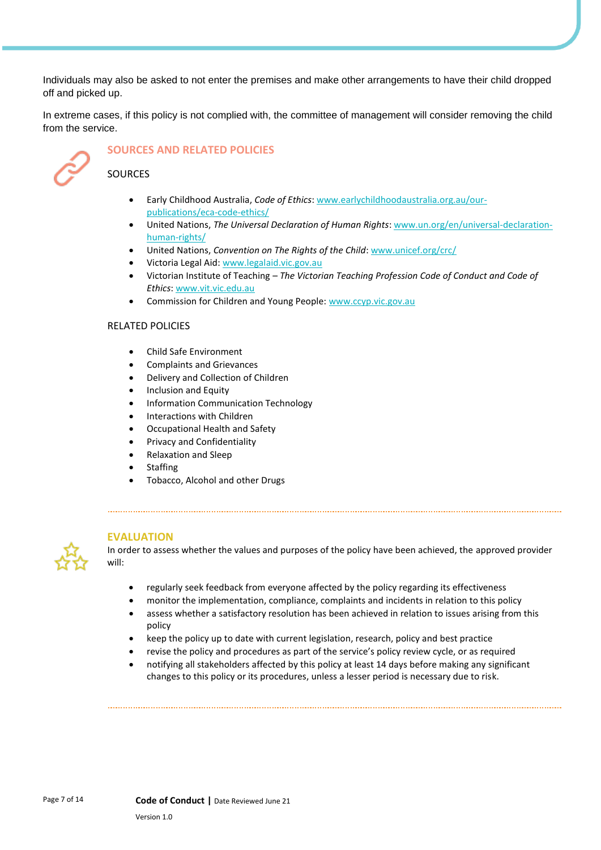Individuals may also be asked to not enter the premises and make other arrangements to have their child dropped off and picked up.

In extreme cases, if this policy is not complied with, the committee of management will consider removing the child from the service.



# **SOURCES AND RELATED POLICIES**

### **SOURCES**

- Early Childhood Australia, *Code of Ethics*: [www.earlychildhoodaustralia.org.au/our](http://www.earlychildhoodaustralia.org.au/our-publications/eca-code-ethics/)[publications/eca-code-ethics/](http://www.earlychildhoodaustralia.org.au/our-publications/eca-code-ethics/)
- United Nations, *The Universal Declaration of Human Rights*[: www.un.org/en/universal-declaration](http://www.un.org/en/universal-declaration-human-rights/)[human-rights/](http://www.un.org/en/universal-declaration-human-rights/)
- United Nations, *Convention on The Rights of the Child*[: www.unicef.org/crc/](http://www.unicef.org/crc/)
- Victoria Legal Aid[: www.legalaid.vic.gov.au](http://www.legalaid.vic.gov.au/)
- Victorian Institute of Teaching *The Victorian Teaching Profession Code of Conduct and Code of Ethics*: [www.vit.vic.edu.au](http://www.vit.vic.edu.au/)
- Commission for Children and Young People: [www.ccyp.vic.gov.au](http://www.ccyp.vic.gov.au/)

#### RELATED POLICIES

- Child Safe Environment
- Complaints and Grievances
- Delivery and Collection of Children
- Inclusion and Equity
- Information Communication Technology
- Interactions with Children
- Occupational Health and Safety
- Privacy and Confidentiality
- Relaxation and Sleep
- **Staffing**
- Tobacco, Alcohol and other Drugs

#### **EVALUATION**



- regularly seek feedback from everyone affected by the policy regarding its effectiveness
- monitor the implementation, compliance, complaints and incidents in relation to this policy
- assess whether a satisfactory resolution has been achieved in relation to issues arising from this policy
- keep the policy up to date with current legislation, research, policy and best practice
- revise the policy and procedures as part of the service's policy review cycle, or as required
- notifying all stakeholders affected by this policy at least 14 days before making any significant changes to this policy or its procedures, unless a lesser period is necessary due to risk.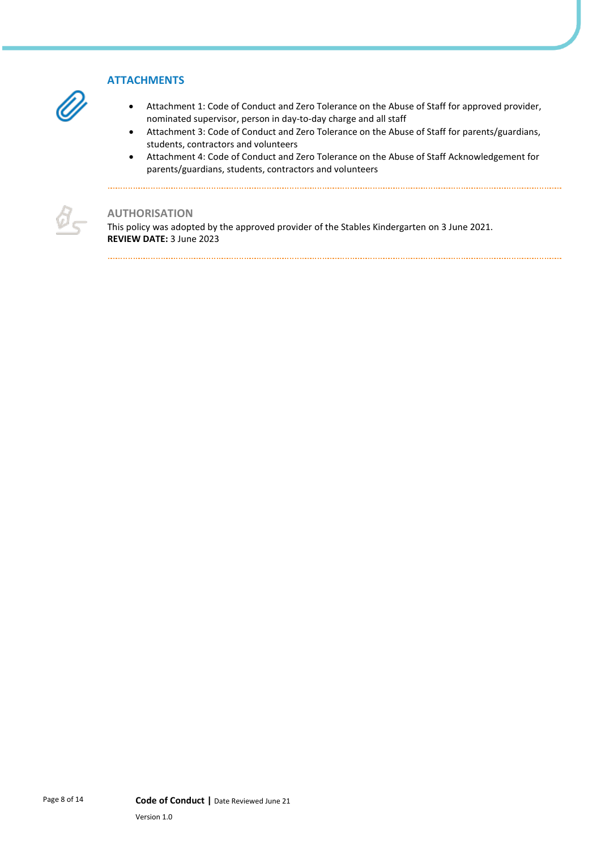# **ATTACHMENTS**

- Attachment 1: Code of Conduct and Zero Tolerance on the Abuse of Staff for approved provider, nominated supervisor, person in day-to-day charge and all staff
- Attachment 3: Code of Conduct and Zero Tolerance on the Abuse of Staff for parents/guardians, students, contractors and volunteers
- Attachment 4: Code of Conduct and Zero Tolerance on the Abuse of Staff Acknowledgement for parents/guardians, students, contractors and volunteers

#### **AUTHORISATION**

Ø.

This policy was adopted by the approved provider of the Stables Kindergarten on 3 June 2021. **REVIEW DATE:** 3 June 2023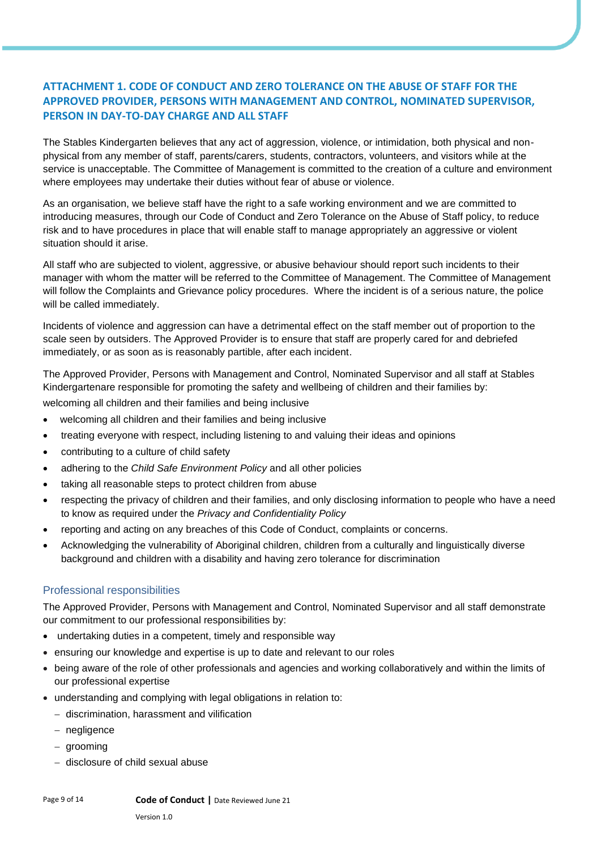# **ATTACHMENT 1. CODE OF CONDUCT AND ZERO TOLERANCE ON THE ABUSE OF STAFF FOR THE APPROVED PROVIDER, PERSONS WITH MANAGEMENT AND CONTROL, NOMINATED SUPERVISOR, PERSON IN DAY-TO-DAY CHARGE AND ALL STAFF**

The Stables Kindergarten believes that any act of aggression, violence, or intimidation, both physical and nonphysical from any member of staff, parents/carers, students, contractors, volunteers, and visitors while at the service is unacceptable. The Committee of Management is committed to the creation of a culture and environment where employees may undertake their duties without fear of abuse or violence.

As an organisation, we believe staff have the right to a safe working environment and we are committed to introducing measures, through our Code of Conduct and Zero Tolerance on the Abuse of Staff policy, to reduce risk and to have procedures in place that will enable staff to manage appropriately an aggressive or violent situation should it arise.

All staff who are subjected to violent, aggressive, or abusive behaviour should report such incidents to their manager with whom the matter will be referred to the Committee of Management. The Committee of Management will follow the Complaints and Grievance policy procedures. Where the incident is of a serious nature, the police will be called immediately.

Incidents of violence and aggression can have a detrimental effect on the staff member out of proportion to the scale seen by outsiders. The Approved Provider is to ensure that staff are properly cared for and debriefed immediately, or as soon as is reasonably partible, after each incident.

The Approved Provider, Persons with Management and Control, Nominated Supervisor and all staff at Stables Kindergartenare responsible for promoting the safety and wellbeing of children and their families by:

welcoming all children and their families and being inclusive

- welcoming all children and their families and being inclusive
- treating everyone with respect, including listening to and valuing their ideas and opinions
- contributing to a culture of child safety
- adhering to the *Child Safe Environment Policy* and all other policies
- taking all reasonable steps to protect children from abuse
- respecting the privacy of children and their families, and only disclosing information to people who have a need to know as required under the *Privacy and Confidentiality Policy*
- reporting and acting on any breaches of this Code of Conduct, complaints or concerns.
- Acknowledging the vulnerability of Aboriginal children, children from a culturally and linguistically diverse background and children with a disability and having zero tolerance for discrimination

#### Professional responsibilities

The Approved Provider, Persons with Management and Control, Nominated Supervisor and all staff demonstrate our commitment to our professional responsibilities by:

- undertaking duties in a competent, timely and responsible way
- ensuring our knowledge and expertise is up to date and relevant to our roles
- being aware of the role of other professionals and agencies and working collaboratively and within the limits of our professional expertise
- understanding and complying with legal obligations in relation to:
	- − discrimination, harassment and vilification
	- − negligence
	- − grooming
	- − disclosure of child sexual abuse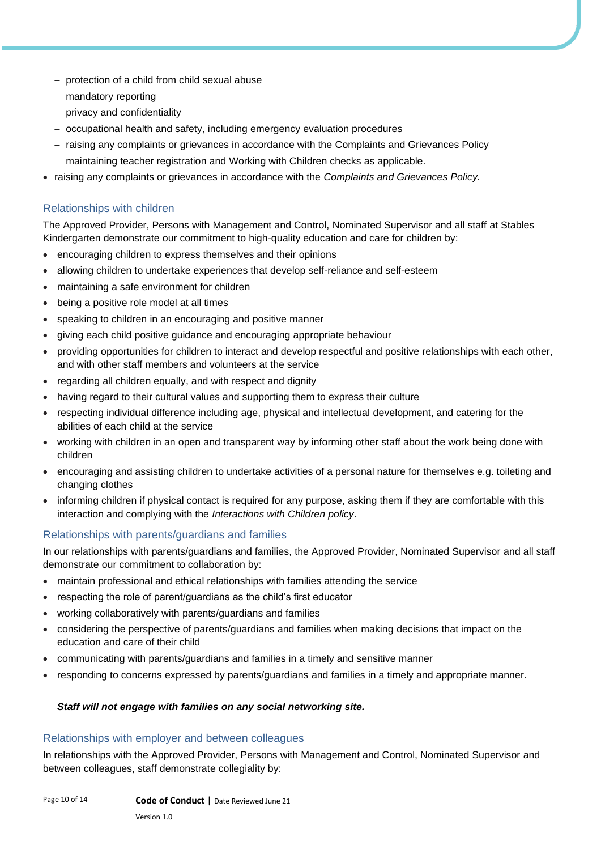- − protection of a child from child sexual abuse
- − mandatory reporting
- − privacy and confidentiality
- − occupational health and safety, including emergency evaluation procedures
- − raising any complaints or grievances in accordance with the Complaints and Grievances Policy
- − maintaining teacher registration and Working with Children checks as applicable.
- raising any complaints or grievances in accordance with the *Complaints and Grievances Policy.*

#### Relationships with children

The Approved Provider, Persons with Management and Control, Nominated Supervisor and all staff at Stables Kindergarten demonstrate our commitment to high-quality education and care for children by:

- encouraging children to express themselves and their opinions
- allowing children to undertake experiences that develop self-reliance and self-esteem
- maintaining a safe environment for children
- being a positive role model at all times
- speaking to children in an encouraging and positive manner
- giving each child positive guidance and encouraging appropriate behaviour
- providing opportunities for children to interact and develop respectful and positive relationships with each other, and with other staff members and volunteers at the service
- regarding all children equally, and with respect and dignity
- having regard to their cultural values and supporting them to express their culture
- respecting individual difference including age, physical and intellectual development, and catering for the abilities of each child at the service
- working with children in an open and transparent way by informing other staff about the work being done with children
- encouraging and assisting children to undertake activities of a personal nature for themselves e.g. toileting and changing clothes
- informing children if physical contact is required for any purpose, asking them if they are comfortable with this interaction and complying with the *Interactions with Children policy*.

#### Relationships with parents/guardians and families

In our relationships with parents/guardians and families, the Approved Provider, Nominated Supervisor and all staff demonstrate our commitment to collaboration by:

- maintain professional and ethical relationships with families attending the service
- respecting the role of parent/guardians as the child's first educator
- working collaboratively with parents/guardians and families
- considering the perspective of parents/guardians and families when making decisions that impact on the education and care of their child
- communicating with parents/guardians and families in a timely and sensitive manner
- responding to concerns expressed by parents/guardians and families in a timely and appropriate manner.

#### *Staff will not engage with families on any social networking site.*

#### Relationships with employer and between colleagues

In relationships with the Approved Provider, Persons with Management and Control, Nominated Supervisor and between colleagues, staff demonstrate collegiality by: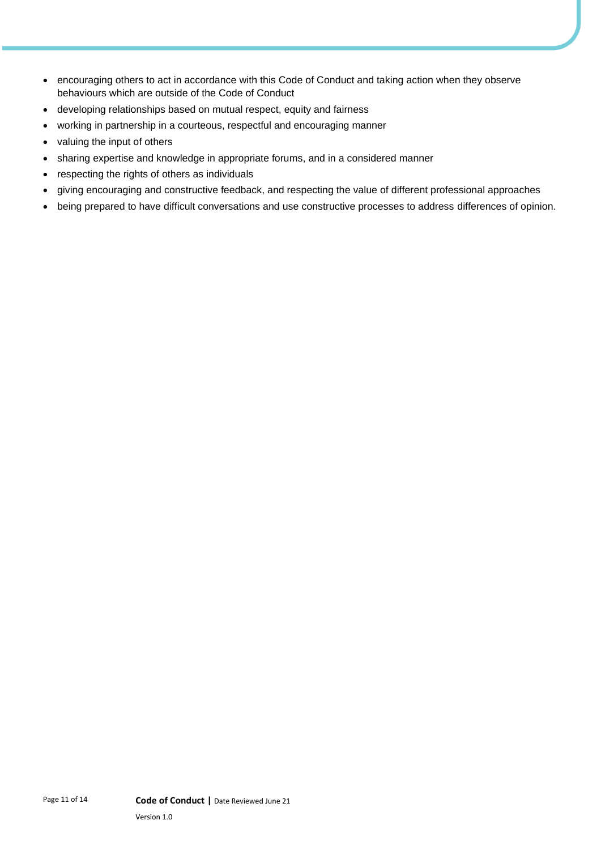- encouraging others to act in accordance with this Code of Conduct and taking action when they observe behaviours which are outside of the Code of Conduct
- developing relationships based on mutual respect, equity and fairness
- working in partnership in a courteous, respectful and encouraging manner
- valuing the input of others
- sharing expertise and knowledge in appropriate forums, and in a considered manner
- respecting the rights of others as individuals
- giving encouraging and constructive feedback, and respecting the value of different professional approaches
- being prepared to have difficult conversations and use constructive processes to address differences of opinion.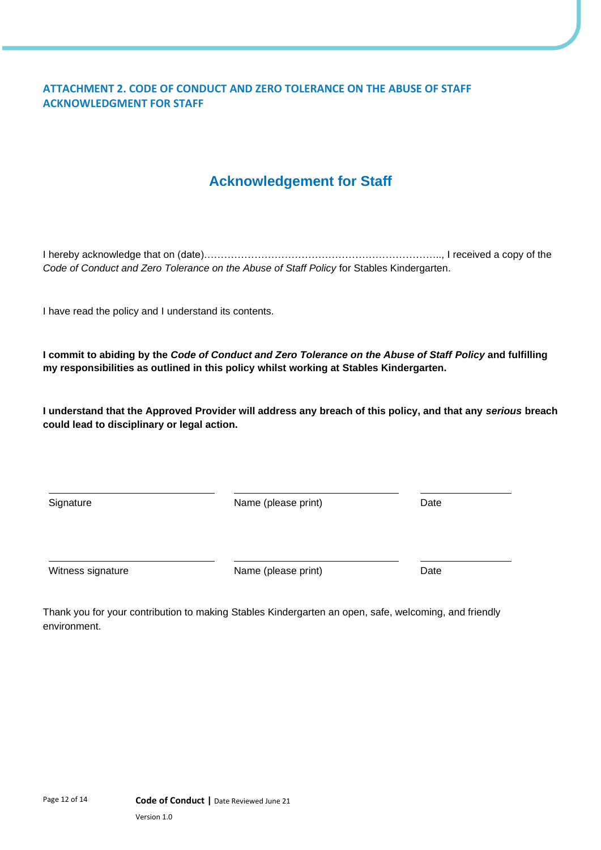# **ATTACHMENT 2. CODE OF CONDUCT AND ZERO TOLERANCE ON THE ABUSE OF STAFF ACKNOWLEDGMENT FOR STAFF**

# **Acknowledgement for Staff**

I hereby acknowledge that on (date)…………………………………………………………….., I received a copy of the *Code of Conduct and Zero Tolerance on the Abuse of Staff Policy* for Stables Kindergarten.

I have read the policy and I understand its contents.

**I commit to abiding by the** *Code of Conduct and Zero Tolerance on the Abuse of Staff Policy* **and fulfilling my responsibilities as outlined in this policy whilst working at Stables Kindergarten.**

**I understand that the Approved Provider will address any breach of this policy, and that any** *serious* **breach could lead to disciplinary or legal action.**

Signature **Name** (please print) Date

Witness signature **Name** (please print) Date

Thank you for your contribution to making Stables Kindergarten an open, safe, welcoming, and friendly environment.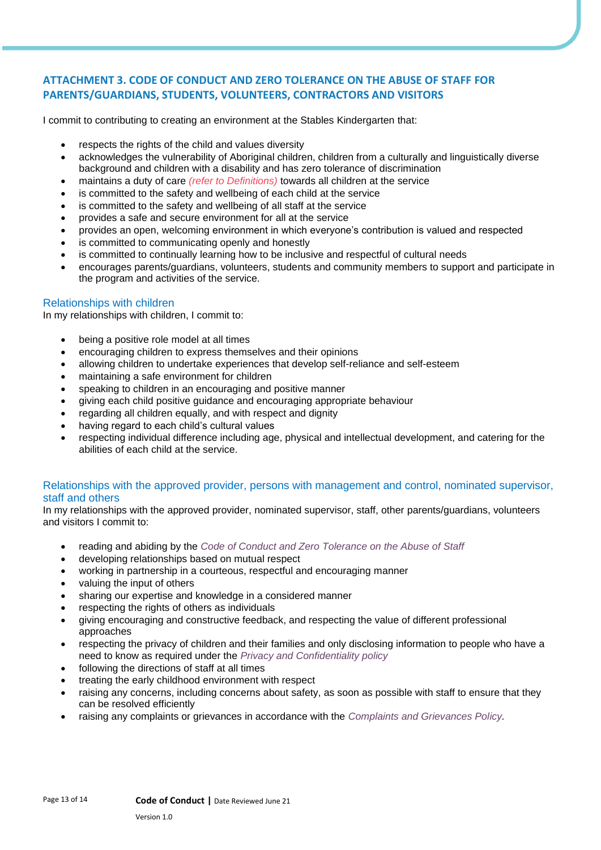### **ATTACHMENT 3. CODE OF CONDUCT AND ZERO TOLERANCE ON THE ABUSE OF STAFF FOR PARENTS/GUARDIANS, STUDENTS, VOLUNTEERS, CONTRACTORS AND VISITORS**

I commit to contributing to creating an environment at the Stables Kindergarten that:

- respects the rights of the child and values diversity
- acknowledges the vulnerability of Aboriginal children, children from a culturally and linguistically diverse background and children with a disability and has zero tolerance of discrimination
- maintains a duty of care *(refer to Definitions)* towards all children at the service
- is committed to the safety and wellbeing of each child at the service
- is committed to the safety and wellbeing of all staff at the service
- provides a safe and secure environment for all at the service
- provides an open, welcoming environment in which everyone's contribution is valued and respected
- is committed to communicating openly and honestly
- is committed to continually learning how to be inclusive and respectful of cultural needs
- encourages parents/guardians, volunteers, students and community members to support and participate in the program and activities of the service.

#### Relationships with children

In my relationships with children, I commit to:

- being a positive role model at all times
- encouraging children to express themselves and their opinions
- allowing children to undertake experiences that develop self-reliance and self-esteem
- maintaining a safe environment for children
- speaking to children in an encouraging and positive manner
- giving each child positive guidance and encouraging appropriate behaviour
- regarding all children equally, and with respect and dignity
- having regard to each child's cultural values
- respecting individual difference including age, physical and intellectual development, and catering for the abilities of each child at the service.

#### Relationships with the approved provider, persons with management and control, nominated supervisor, staff and others

In my relationships with the approved provider, nominated supervisor, staff, other parents/guardians, volunteers and visitors I commit to:

- reading and abiding by the *Code of Conduct and Zero Tolerance on the Abuse of Staff*
- developing relationships based on mutual respect
- working in partnership in a courteous, respectful and encouraging manner
- valuing the input of others
- sharing our expertise and knowledge in a considered manner
- respecting the rights of others as individuals
- giving encouraging and constructive feedback, and respecting the value of different professional approaches
- respecting the privacy of children and their families and only disclosing information to people who have a need to know as required under the *Privacy and Confidentiality policy*
- following the directions of staff at all times
- treating the early childhood environment with respect
- raising any concerns, including concerns about safety, as soon as possible with staff to ensure that they can be resolved efficiently
- raising any complaints or grievances in accordance with the *Complaints and Grievances Policy.*